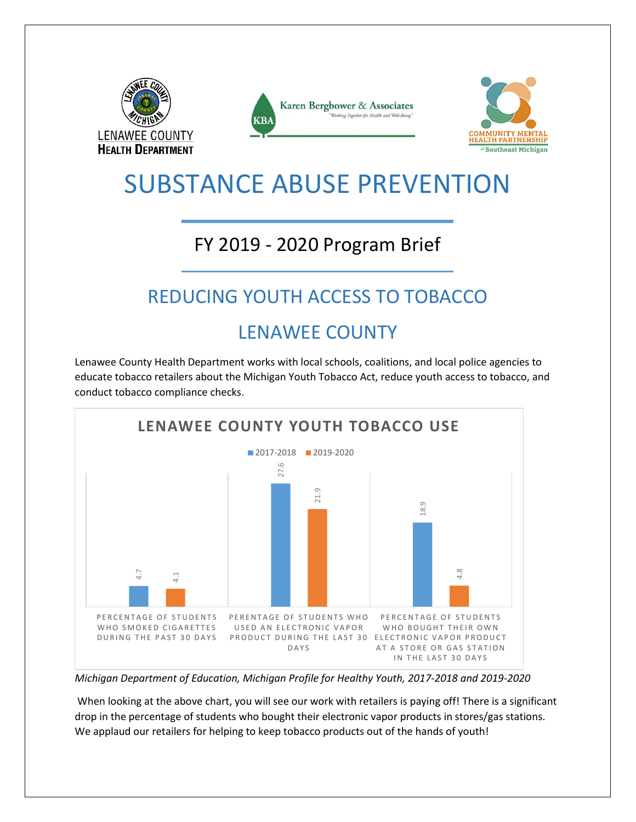





### SUBSTANCE ABUSE PREVENTION

### FY 2019 - 2020 Program Brief

### REDUCING YOUTH ACCESS TO TOBACCO

### LENAWEE COUNTY

Lenawee County Health Department works with local schools, coalitions, and local police agencies to educate tobacco retailers about the Michigan Youth Tobacco Act, reduce youth access to tobacco, and conduct tobacco compliance checks.



*Michigan Department of Education, Michigan Profile for Healthy Youth, 2017-2018 and 2019-2020*

When looking at the above chart, you will see our work with retailers is paying off! There is a significant drop in the percentage of students who bought their electronic vapor products in stores/gas stations.